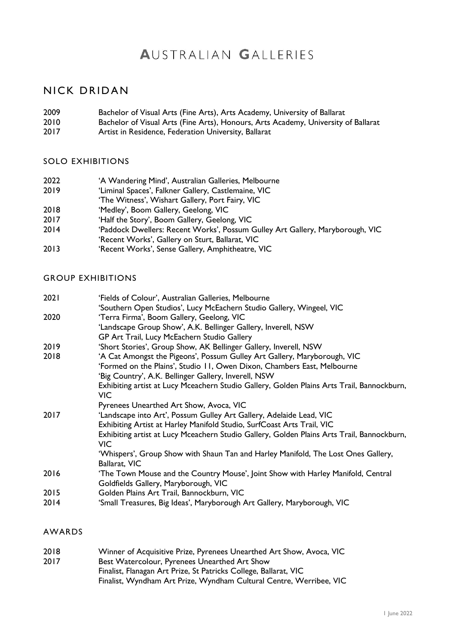# **AUSTRALIAN GALLERIES**

# NICK DRIDAN

- 2009 Bachelor of Visual Arts (Fine Arts), Arts Academy, University of Ballarat
- 2010 Bachelor of Visual Arts (Fine Arts), Honours, Arts Academy, University of Ballarat<br>2017 Artist in Residence, Federation University, Ballarat
- Artist in Residence, Federation University, Ballarat

#### SOLO EXHIBITIONS

- 2022 'A Wandering Mind', Australian Galleries, Melbourne<br>2019 'Liminal Spaces'. Falkner Gallery. Castlemaine. VIC
- 'Liminal Spaces', Falkner Gallery, Castlemaine, VIC
- 'The Witness', Wishart Gallery, Port Fairy, VIC
- 2018 'Medley', Boom Gallery, Geelong, VIC
- 2017 'Half the Story', Boom Gallery, Geelong, VIC
- 2014 'Paddock Dwellers: Recent Works', Possum Gulley Art Gallery, Maryborough, VIC
- 'Recent Works', Gallery on Sturt, Ballarat, VIC
- 2013 'Recent Works', Sense Gallery, Amphitheatre, VIC

## GROUP EXHIBITIONS

| 2021 | 'Fields of Colour', Australian Galleries, Melbourne                                        |
|------|--------------------------------------------------------------------------------------------|
|      | 'Southern Open Studios', Lucy McEachern Studio Gallery, Wingeel, VIC                       |
| 2020 | 'Terra Firma', Boom Gallery, Geelong, VIC                                                  |
|      | 'Landscape Group Show', A.K. Bellinger Gallery, Inverell, NSW                              |
|      | GP Art Trail, Lucy McEachern Studio Gallery                                                |
| 2019 | 'Short Stories', Group Show, AK Bellinger Gallery, Inverell, NSW                           |
| 2018 | 'A Cat Amongst the Pigeons', Possum Gulley Art Gallery, Maryborough, VIC                   |
|      | 'Formed on the Plains', Studio 11, Owen Dixon, Chambers East, Melbourne                    |
|      | 'Big Country', A.K. Bellinger Gallery, Inverell, NSW                                       |
|      | Exhibiting artist at Lucy Mceachern Studio Gallery, Golden Plains Arts Trail, Bannockburn, |
|      | VIC.                                                                                       |
|      | Pyrenees Unearthed Art Show, Avoca, VIC                                                    |
| 2017 | 'Landscape into Art', Possum Gulley Art Gallery, Adelaide Lead, VIC                        |
|      | Exhibiting Artist at Harley Manifold Studio, SurfCoast Arts Trail, VIC                     |
|      | Exhibiting artist at Lucy Mceachern Studio Gallery, Golden Plains Arts Trail, Bannockburn, |
|      | VIC.                                                                                       |
|      | 'Whispers', Group Show with Shaun Tan and Harley Manifold, The Lost Ones Gallery,          |
|      | Ballarat, VIC                                                                              |
| 2016 | 'The Town Mouse and the Country Mouse', Joint Show with Harley Manifold, Central           |
|      | Goldfields Gallery, Maryborough, VIC                                                       |
| 2015 | Golden Plains Art Trail, Bannockburn, VIC                                                  |
| 2014 | 'Small Treasures, Big Ideas', Maryborough Art Gallery, Maryborough, VIC                    |
|      |                                                                                            |

### AWARDS

| 2018 | Winner of Acquisitive Prize, Pyrenees Unearthed Art Show, Avoca, VIC |
|------|----------------------------------------------------------------------|
| 2017 | Best Watercolour, Pyrenees Unearthed Art Show                        |
|      | Finalist, Flanagan Art Prize, St Patricks College, Ballarat, VIC     |
|      | Finalist, Wyndham Art Prize, Wyndham Cultural Centre, Werribee, VIC  |